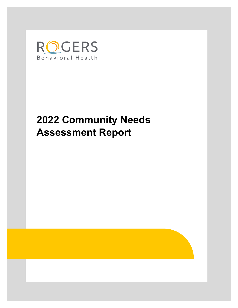

# **2022 Community Needs Assessment Report**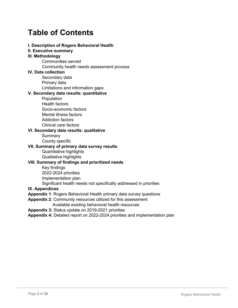## **Table of Contents**

### **I. Description of Rogers Behavioral Health**

**II. Executive summary**

### **III. Methodology**

Communities served

Community health needs assessment process

### **IV. Data collection**

Secondary data Primary data Limitations and information gaps

### **V. Secondary data results: quantitative**

- Population Health factors
- Socio-economic factors Mental illness factors Addiction factors Clinical care factors

### **VI. Secondary data results: qualitative**

Summary

County specific

### **VII. Summary of primary data survey results**

Quantitative highlights Qualitative highlights

### **VIII. Summary of findings and prioritized needs**

Key findings

2022-2024 priorities

Implementation plan

Significant health needs not specifically addressed in priorities

### **IX. Appendices**

**Appendix 1**: Rogers Behavioral Health primary data survey questions

- **Appendix 2**: Community resources utilized for this assessment Available existing behavioral health resources
- **Appendix 3:** Status update on 2019-2021 priorities

**Appendix 4:** Detailed report on 2022-2024 priorities and implementation plan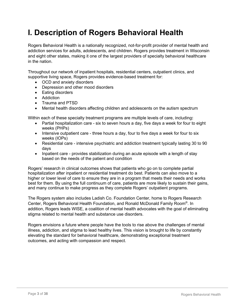## **I. Description of Rogers Behavioral Health**

Rogers Behavioral Health is a nationally recognized, not-for-profit provider of mental health and addiction services for adults, adolescents, and children. Rogers provides treatment in Wisconsin and eight other states, making it one of the largest providers of specialty behavioral healthcare in the nation.

Throughout our network of inpatient hospitals, residential centers, outpatient clinics, and supportive living space, Rogers provides evidence-based treatment for:

- OCD and anxiety disorders
- Depression and other mood disorders
- Eating disorders
- Addiction
- Trauma and PTSD
- Mental health disorders affecting children and adolescents on the autism spectrum

Within each of these specialty treatment programs are multiple levels of care, including**:** 

- Partial hospitalization care six to seven hours a day, five days a week for four to eight weeks (PHPs)
- Intensive outpatient care three hours a day, four to five days a week for four to six weeks (IOPs)
- Residential care intensive psychiatric and addiction treatment typically lasting 30 to 90 days
- Inpatient care provides stabilization during an acute episode with a length of stay based on the needs of the patient and condition

Rogers' research in clinical outcomes shows that patients who go on to complete partial hospitalization after inpatient or residential treatment do best. Patients can also move to a higher or lower level of care to ensure they are in a program that meets their needs and works best for them. By using the full continuum of care, patients are more likely to sustain their gains, and many continue to make progress as they complete Rogers' outpatient programs.

The Rogers system also includes Ladish Co. Foundation Center, home to Rogers Research Center, Rogers Behavioral Health Foundation, and Ronald McDonald Family Room®. In addition, Rogers leads WISE, a coalition of mental health advocates with the goal of eliminating stigma related to mental health and substance use disorders.

Rogers envisions a future where people have the tools to rise above the challenges of mental illness, addiction, and stigma to lead healthy lives. This vision is brought to life by constantly elevating the standard for behavioral healthcare, demonstrating exceptional treatment outcomes, and acting with compassion and respect.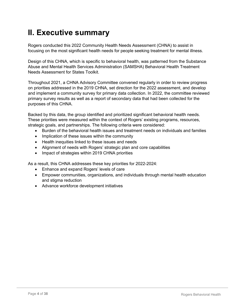## **II. Executive summary**

Rogers conducted this 2022 Community Health Needs Assessment (CHNA) to assist in focusing on the most significant health needs for people seeking treatment for mental illness.

Design of this CHNA, which is specific to behavioral health, was patterned from the Substance Abuse and Mental Health Services Administration (SAMSHA) Behavioral Health Treatment Needs Assessment for States Toolkit.

Throughout 2021, a CHNA Advisory Committee convened regularly in order to review progress on priorities addressed in the 2019 CHNA, set direction for the 2022 assessment, and develop and implement a community survey for primary data collection. In 2022, the committee reviewed primary survey results as well as a report of secondary data that had been collected for the purposes of this CHNA.

Backed by this data, the group identified and prioritized significant behavioral health needs. These priorities were measured within the context of Rogers' existing programs, resources, strategic goals, and partnerships. The following criteria were considered:

- Burden of the behavioral health issues and treatment needs on individuals and families
- Implication of these issues within the community
- Health inequities linked to these issues and needs
- Alignment of needs with Rogers' strategic plan and core capabilities
- Impact of strategies within 2019 CHNA priorities

As a result, this CHNA addresses these key priorities for 2022-2024:

- Enhance and expand Rogers' levels of care
- Empower communities, organizations, and individuals through mental health education and stigma reduction
- Advance workforce development initiatives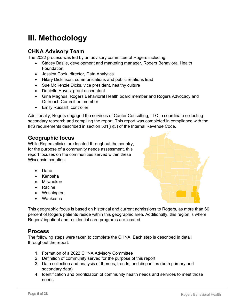## **III. Methodology**

### **CHNA Advisory Team**

The 2022 process was led by an advisory committee of Rogers including:

- Stacey Basile, development and marketing manager, Rogers Behavioral Health Foundation
- Jessica Cook, director, Data Analytics
- Hilary Dickinson, communications and public relations lead
- Sue McKenzie Dicks, vice president, healthy culture
- Danielle Hayes, grant accountant
- Gina Magnus, Rogers Behavioral Health board member and Rogers Advocacy and Outreach Committee member
- Emily Russart, controller

Additionally, Rogers engaged the services of Canter Consulting, LLC to coordinate collecting secondary research and compiling the report. This report was completed in compliance with the IRS requirements described in section 501(r)(3) of the Internal Revenue Code.

### **Geographic focus**

While Rogers clinics are located throughout the country, for the purpose of a community needs assessment, this report focuses on the communities served within these Wisconsin counties:

- Dane
- Kenosha
- Milwaukee
- Racine
- Washington
- Waukesha

This geographic focus is based on historical and current admissions to Rogers, as more than 60 percent of Rogers patients reside within this geographic area. Additionally, this region is where Rogers' inpatient and residential care programs are located.

### **Process**

The following steps were taken to complete the CHNA. Each step is described in detail throughout the report.

- 1. Formation of a 2022 CHNA Advisory Committee
- 2. Definition of community served for the purpose of this report
- 3. Data collection and analysis of themes, trends, and disparities (both primary and secondary data)
- 4. Identification and prioritization of community health needs and services to meet those needs

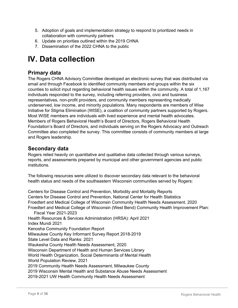- 5. Adoption of goals and implementation strategy to respond to prioritized needs in collaboration with community partners
- 6. Update on priorities outlined within the 2019 CHNA
- 7. Dissemination of the 2022 CHNA to the public

## **IV. Data collection**

### **Primary data**

The Rogers CHNA Advisory Committee developed an electronic survey that was distributed via email and through Facebook to identified community members and groups within the six counties to solicit input regarding behavioral health issues within the community. A total of 1,167 individuals responded to the survey, including referring providers, civic and business representatives, non-profit providers, and community members representing medically underserved, low income, and minority populations. Many respondents are members of Wise Initiative for Stigma Elimination (WISE), a coalition of community partners supported by Rogers. Most WISE members are individuals with lived experience and mental health advocates. Members of Rogers Behavioral Health's Board of Directors, Rogers Behavioral Health Foundation's Board of Directors, and individuals serving on the Rogers Advocacy and Outreach Committee also completed the survey. This committee consists of community members at large and Rogers leadership.

### **Secondary data**

Rogers relied heavily on quantitative and qualitative data collected through various surveys, reports, and assessments prepared by municipal and other government agencies and public institutions.

The following resources were utilized to discover secondary data relevant to the behavioral health status and needs of the southeastern Wisconsin communities served by Rogers:

Centers for Disease Control and Prevention, Morbidity and Mortality Reports Centers for Disease Control and Prevention, National Center for Health Statistics Froedtert and Medical College of Wisconsin Community Health Needs Assessment, 2020 Froedtert and Medical College of Wisconsin (West Bend) Community Health Improvement Plan: Fiscal Year 2021-2023 Health Resources & Services Administration (HRSA): April 2021 Index Mundi 2021 Kenosha Community Foundation Report Milwaukee County Key Informant Survey Report 2018-2019 State Level Data and Ranks: 2021 Waukesha County Health Needs Assessment, 2020 Wisconsin Department of Health and Human Services Library World Health Organization, Social Determinants of Mental Health World Population Review, 2021 2019 Community Health Needs Assessment, Milwaukee County 2019 Wisconsin Mental Health and Substance Abuse Needs Assessment 2019-2021 UW Health Community Health Needs Assessment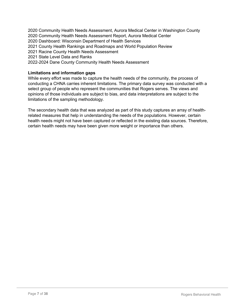2020 Community Health Needs Assessment, Aurora Medical Center in Washington County 2020 Community Health Needs Assessment Report, Aurora Medical Center 2020 Dashboard: Wisconsin Department of Health Services 2021 County Health Rankings and Roadmaps and World Population Review 2021 Racine County Health Needs Assessment 2021 State Level Data and Ranks 2022-2024 Dane County Community Health Needs Assessment

### **Limitations and information gaps**

While every effort was made to capture the health needs of the community, the process of conducting a CHNA carries inherent limitations. The primary data survey was conducted with a select group of people who represent the communities that Rogers serves. The views and opinions of those individuals are subject to bias, and data interpretations are subject to the limitations of the sampling methodology.

The secondary health data that was analyzed as part of this study captures an array of healthrelated measures that help in understanding the needs of the populations. However, certain health needs might not have been captured or reflected in the existing data sources. Therefore, certain health needs may have been given more weight or importance than others.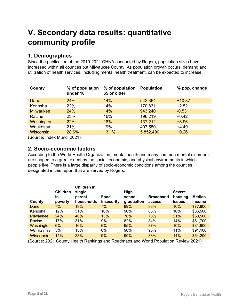## **V. Secondary data results: quantitative community profile**

### **1. Demographics**

Since the publication of the 2019-2021 CHNA conducted by Rogers, population sizes have increased within all counties but Milwaukee County. As population growth occurs, demand and utilization of health services, including mental health treatment, can be expected to increase.

| County                       | % of population<br>under 18 | % of population<br>65 or older | <b>Population</b> | % pop. change |  |  |
|------------------------------|-----------------------------|--------------------------------|-------------------|---------------|--|--|
| Dane                         | 24%                         | 14%                            | 542,364           | $+10.87$      |  |  |
| Kenosha                      | 22%                         | 14%                            | 170,831           | $+2.52$       |  |  |
| <b>Milwaukee</b>             | 24%                         | 14%                            | 943,240           | $-0.53$       |  |  |
| Racine                       | 23%                         | 16%                            | 196,219           | $+0.42$       |  |  |
| Washington                   | 22%                         | 18%                            | 137,212           | $+3.96$       |  |  |
| Waukesha                     | 21%                         | 19%                            | 407,550           | $+4.49$       |  |  |
| <b>Wisconsin</b>             | 28.6%                       | 13.1%                          | 5,852,490         | $+0.26$       |  |  |
| $(0 \t1 \t1 \t1 \t1 \t0004)$ |                             |                                |                   |               |  |  |

(Source: Index Mundi 2021)

### **2. Socio-economic factors**

According to the World Health Organization, mental health and many common mental disorders are shaped to a great extent by the social, economic, and physical environments in which people live. There is a large disparity of socio-economic conditions among the counties designated in this report that are served by Rogers.

|                  | <b>Children</b> | Children in<br>single |                    | <b>High</b>          |                            | <b>Severe</b>            |                         |
|------------------|-----------------|-----------------------|--------------------|----------------------|----------------------------|--------------------------|-------------------------|
| County           | in<br>poverty   | parent<br>households  | Food<br>insecurity | school<br>graduation | <b>Broadband</b><br>access | housing<br><b>issues</b> | <b>Median</b><br>income |
| Dane             | 7%              | 19%                   | 7%                 | 89%                  | 88%                        | 16%                      | \$77,800                |
| Kenosha          | 12%             | 31%                   | 10%                | 90%                  | 85%                        | 16%                      | \$66,500                |
| <b>Milwaukee</b> | 24%             | 40%                   | 13%                | 78%                  | 78%                        | 21%                      | \$53,500                |
| Racine           | 17%             | 31%                   | 9%                 | 82%                  | 84%                        | 14%                      | \$61,700                |
| Washington       | 6%              | 16%                   | 6%                 | 95%                  | 87%                        | 10%                      | \$81,900                |
| Waukesha         | 5%              | 13%                   | 6%                 | 96%                  | 90%                        | 11%                      | \$91,100                |
| Wisconsin        | 14%             | 23%                   | 9%                 | 90%                  | 83%                        | 14%                      | \$64,200                |

(Source: 2021 County Health Rankings and Roadmaps and World Population Review 2021)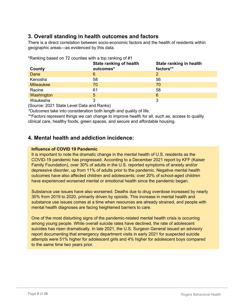### **3. Overall standing in health outcomes and factors**

There is a direct correlation between socio-economic factors and the health of residents within geographic areas—as evidenced by this data.

|                  | <b>State ranking of health</b> | State ranking in health |
|------------------|--------------------------------|-------------------------|
| County           | outcomes*                      | factors**               |
| Dane             | 6                              | 2                       |
| Kenosha          | 58                             | 56                      |
| <b>Milwaukee</b> | 70                             | 70                      |
| Racine           | 61                             | 58                      |
| Washington       | 5                              | 6                       |
| Waukesha         |                                |                         |

\*Ranking based on 72 counties with a top ranking of #1

(Source: 2021 State Level Data and Ranks)

*\*Outcomes* take into consideration both length and quality of life.

*\*\*Factors* represent things we can change to improve health for all, such as, access to quality clinical care, healthy foods, green spaces, and secure and affordable housing.

### **4. Mental health and addiction incidence:**

### **Influence of COVID 19 Pandemic**

It is important to note the dramatic change in the mental health of U.S. residents as the COVID-19 pandemic has progressed. According to a December 2021 report by KFF (Kaiser Family Foundation), over 30% of adults in the U.S. reported symptoms of anxiety and/or depressive disorder, up from 11% of adults prior to the pandemic. Negative mental health outcomes have also affected children and adolescents; over 20% of school-aged children have experienced worsened mental or emotional health since the pandemic began.

Substance use issues have also worsened. Deaths due to drug overdose increased by nearly 30% from 2019 to 2020, primarily driven by opioids. This increase in mental health and substance use issues comes at a time when resources are already strained, and people with mental health diagnoses are facing heightened barriers to care.

One of the most disturbing signs of the pandemic-related mental health crisis is occurring among young people. While overall suicide rates have declined, the rate of adolescent suicides has risen dramatically. In late 2021, the U.S. Surgeon General issued an advisory report documenting that emergency department visits in early 2021 for suspected suicide attempts were 51% higher for adolescent girls and 4% higher for adolescent boys compared to the same time two years prior.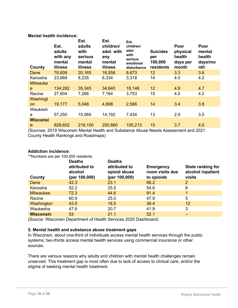### **Mental health incidence:**

| County          | Est.<br>adults<br>with any<br>mental<br>illness | Est.<br>adults<br>with<br>serious<br>mental<br>illness | Est.<br>children/<br>adol. with<br>any<br>mental<br>illness | Est.<br>children/<br>adol.<br>with<br>serious<br>emotional<br>disturbance | <b>Suicides</b><br>per<br>100,000<br>residents | Poor<br>physical<br>health<br>days per<br>month | Poor<br>mental<br>health<br>days/mo<br>nth |
|-----------------|-------------------------------------------------|--------------------------------------------------------|-------------------------------------------------------------|---------------------------------------------------------------------------|------------------------------------------------|-------------------------------------------------|--------------------------------------------|
| Dane            | 76,609                                          | 20,165                                                 | 16,558                                                      | 8,673                                                                     | 12                                             | 3.3                                             | 3.6                                        |
| Kenosha         | 23,689                                          | 6,235                                                  | 6,334                                                       | 3,318                                                                     | 14                                             | 4.0                                             | 4.2                                        |
| <b>Milwauke</b> |                                                 |                                                        |                                                             |                                                                           |                                                |                                                 |                                            |
| e.              | 134,282                                         | 35,345                                                 | 34,640                                                      | 18,146                                                                    | 12                                             | 4.9                                             | 4.7                                        |
| Racine          | 27,604                                          | 7,266                                                  | 7,164                                                       | 3,753                                                                     | 15                                             | 4.0                                             | 4.2                                        |
| Washingt        |                                                 |                                                        |                                                             |                                                                           |                                                |                                                 |                                            |
| <b>on</b>       | 19,177                                          | 5,048                                                  | 4,898                                                       | 2,566                                                                     | 14                                             | 3.4                                             | 3.8                                        |
| Waukesh         |                                                 |                                                        |                                                             |                                                                           |                                                |                                                 |                                            |
| a               | 57,250                                          | 15,069                                                 | 14,192                                                      | 7,434                                                                     | 13                                             | 2.9                                             | 3.5                                        |
| <b>Wisconsi</b> |                                                 |                                                        |                                                             |                                                                           |                                                |                                                 |                                            |
| $\mathsf{n}$    | 828,602                                         | 218,100                                                | 200,860                                                     | 105,213                                                                   | 15                                             | 3.7                                             | 4.0                                        |

(Sources: 2019 Wisconsin Mental Health and Substance Abuse Needs Assessment and 2021 County Health Rankings and Roadmaps)

### **Addiction incidence:**

\*\*Numbers are per 100,000 residents

| County           | <b>Deaths</b><br>attributed to<br>alcohol<br>(per 100,000) | <b>Deaths</b><br>attributed to<br>opioid abuse<br>(per 100,000) | <b>Emergency</b><br>room visits due<br>to opioids | <b>State ranking for</b><br>alcohol inpatient<br>visits |
|------------------|------------------------------------------------------------|-----------------------------------------------------------------|---------------------------------------------------|---------------------------------------------------------|
| Dane             | 42.3                                                       | 23.1                                                            | 68.2                                              | $\overline{2}$                                          |
| Kenosha          | 52.2                                                       | 25.5                                                            | 54.6                                              | 8                                                       |
| <b>Milwaukee</b> | 72.3                                                       | 44.6                                                            | 91.4                                              |                                                         |
| Racine           | 60.9                                                       | 25.0                                                            | 47.9                                              | 5                                                       |
| Washington       | 43.5                                                       | 18.5                                                            | 38.4                                              | 12 <sup>°</sup>                                         |
| Waukesha         | 47.6                                                       | 20.7                                                            | 41.9                                              | 3                                                       |
| <b>Wisconsin</b> | 53                                                         | 21.1                                                            | 52.1                                              | --                                                      |

(Source: Wisconsin Department of Health Services 2020 Dashboard)

#### **5. Mental health and substance abuse treatment gaps**

In Wisconsin, about one-third of individuals access mental health services through the public systems; two-thirds access mental health services using commercial insurance or other sources.

There are various reasons why adults and children with mental health challenges remain unserved. This treatment gap is most often due to lack of access to clinical care, and/or the stigma of seeking mental health treatment.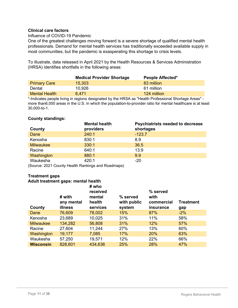### **Clinical care factors**

### Influence of COVID-19 Pandemic

One of the greatest challenges moving forward is a severe shortage of qualified mental health professionals. Demand for mental health services has traditionally exceeded available supply in most communities, but the pandemic is exasperating this shortage to crisis levels.

To illustrate, data released in April 2021 by the Health Resources & Services Administration (HRSA) identifies shortfalls in the following areas:

|                      | <b>Medical Provider Shortage</b> | <b>People Affected*</b> |
|----------------------|----------------------------------|-------------------------|
| <b>Primary Care</b>  | 15,303                           | 83 million              |
| Dental               | 10,926                           | 61 million              |
| <b>Mental Health</b> | 6.471                            | 124 million             |

\*-Indicates people living in regions designated by the HRSA as "Health Professional Shortage Areas" more than6,000 areas in the U.S. in which the population-to-provider ratio for mental healthcare is at least 30,000-to-1.

### **County standings:**

|                  | <b>Mental health</b> | <b>Psychiatrists needed to decrease</b> |
|------------------|----------------------|-----------------------------------------|
| County           | providers            | shortages                               |
| Dane             | 240:1                | $-123.7$                                |
| Kenosha          | 830:1                | 8.9                                     |
| <b>Milwaukee</b> | 330:1                | 36.5                                    |
| Racine           | 640:1                | 13.9                                    |
| Washington       | 880:1                | 9.9                                     |
| Waukesha         | 420:1                | $-20$                                   |

(Source: 2021 County Health Rankings and Roadmaps)

### **Treatment gaps**

#### **Adult treatment gaps: mental health**

| County           | # with<br>any mental<br>illness | # who<br>received<br>mental<br>health<br>services | % served<br>with public<br>system | % served<br>with<br>commercial<br>insurance | <b>Treatment</b><br>gap |
|------------------|---------------------------------|---------------------------------------------------|-----------------------------------|---------------------------------------------|-------------------------|
| Dane             | 76,609                          | 78,002                                            | 15%                               | 87%                                         | $-2\%$                  |
| Kenosha          | 23,689                          | 10,025                                            | 31%                               | 11%                                         | 58%                     |
| <b>Milwaukee</b> | 134,282                         | 56,808                                            | 31%                               | 12%                                         | 57%                     |
| Racine           | 27,604                          | 11,244                                            | 27%                               | 13%                                         | 60%                     |
| Washington       | 19,177                          | 7,085                                             | 17%                               | 20%                                         | 63%                     |
| Waukesha         | 57,250                          | 19,571                                            | 12%                               | 22%                                         | 66%                     |
| <b>Wisconsin</b> | 828,601                         | 434,636                                           | 25%                               | 28%                                         | 47%                     |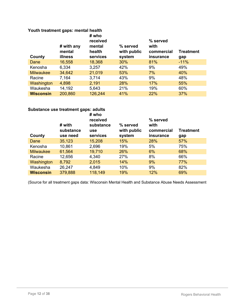### **Youth treatment gaps: mental health**

| County           | # with any<br>mental<br>illness | # who<br>received<br>mental<br>health<br>services | % served<br>with public<br>system | % served<br>with<br>commercial<br>insurance | <b>Treatment</b><br>gap |
|------------------|---------------------------------|---------------------------------------------------|-----------------------------------|---------------------------------------------|-------------------------|
| Dane             | 16,558                          | 18,368                                            | $30\%$                            | 81%                                         | $-11%$                  |
| Kenosha          | 6,334                           | 3,257                                             | 42%                               | 9%                                          | 49%                     |
| <b>Milwaukee</b> | 34,642                          | 21,019                                            | 53%                               | 7%                                          | 40%                     |
| Racine           | 7,164                           | 3,714                                             | 43%                               | 9%                                          | 48%                     |
| Washington       | 4,898                           | 2,191                                             | 28%                               | 17%                                         | 55%                     |
| Waukesha         | 14,192                          | 5,643                                             | 21%                               | 19%                                         | 60%                     |
| <b>Wisconsin</b> | 200,860                         | 126,244                                           | 41%                               | 22%                                         | 37%                     |

### **Substance use treatment gaps: adults**

| County           | # with<br>substance<br>use need | # who<br>received<br>substance<br><b>use</b><br>services | % served<br>with public<br>system | % served<br>with<br>commercial<br>insurance | <b>Treatment</b><br>gap |
|------------------|---------------------------------|----------------------------------------------------------|-----------------------------------|---------------------------------------------|-------------------------|
| Dane             | 35,123                          | 15,208                                                   | 15%                               | 28%                                         | 57%                     |
| Kenosha          | 10,861                          | 2,696                                                    | 19%                               | 5%                                          | 75%                     |
| <b>Milwaukee</b> | 61,564                          | 19,710                                                   | 26%                               | 6%                                          | 68%                     |
| Racine           | 12,656                          | 4,340                                                    | 27%                               | 8%                                          | 66%                     |
| Washington       | 8,792                           | 2,015                                                    | 14%                               | 9%                                          | 77%                     |
| Waukesha         | 26,247                          | 4,849                                                    | 10%                               | 9%                                          | 82%                     |
| <b>Wisconsin</b> | 379,888                         | 118,149                                                  | 19%                               | 12%                                         | 69%                     |

(Source for all treatment gaps data: Wisconsin Mental Health and Substance Abuse Needs Assessment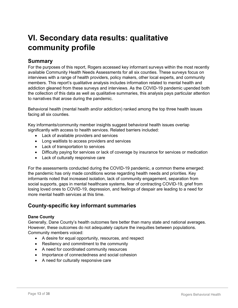## **VI. Secondary data results: qualitative community profile**

### **Summary**

For the purposes of this report, Rogers accessed key informant surveys within the most recently available Community Health Needs Assessments for all six counties. These surveys focus on interviews with a range of health providers, policy makers, other local experts, and community members. This report's qualitative analysis includes information related to mental health and addiction gleaned from these surveys and interviews. As the COVID-19 pandemic upended both the collection of this data as well as qualitative summaries, this analysis pays particular attention to narratives that arose during the pandemic.

Behavioral health (mental health and/or addiction) ranked among the top three health issues facing all six counties.

Key informants/community member insights suggest behavioral health issues overlap significantly with access to health services. Related barriers included:

- Lack of available providers and services
- Long waitlists to access providers and services
- Lack of transportation to services
- Difficulty paying for services or lack of coverage by insurance for services or medication
- Lack of culturally responsive care

For the assessments conducted during the COVID-19 pandemic, a common theme emerged: the pandemic has only made conditions worse regarding health needs and priorities. Key informants noted that increased isolation, lack of community engagement, separation from social supports, gaps in mental healthcare systems, fear of contracting COVID-19, grief from losing loved ones to COVID-19, depression, and feelings of despair are leading to a need for more mental health services at this time.

### **County-specific key informant summaries**

### **Dane County**

Generally, Dane County's health outcomes fare better than many state and national averages. However, these outcomes do not adequately capture the inequities between populations. Community members voiced:

- A desire for equal opportunity, resources, and respect
- Resiliency and commitment to the community
- A need for coordinated community resources
- Importance of connectedness and social cohesion
- A need for culturally responsive care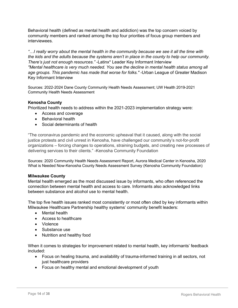Behavioral health (defined as mental health and addiction) was the top concern voiced by community members and ranked among the top four priorities of focus group members and interviewees.

*"…I really worry about the mental health in the community because we see it all the time with the kids and the adults because the systems aren't in place in the county to help our community. There's just not enough resources."* -Latinx\* Leader Key Informant Interview *"Mental healthcare is very much needed. You see the decline in mental health status among all age groups. This pandemic has made that worse for folks."* -Urban League of Greater Madison Key Informant Interview

Sources: 2022-2024 Dane County Community Health Needs Assessment; UW Health 2019-2021 Community Health Needs Assessment

### **Kenosha County**

Prioritized health needs to address within the 2021-2023 implementation strategy were:

- Access and coverage
- Behavioral health
- Social determinants of health

"The coronavirus pandemic and the economic upheaval that it caused, along with the social justice protests and civil unrest in Kenosha, have challenged our community's not-for-profit organizations – forcing changes to operations, straining budgets, and creating new processes of delivering services to their clients." -Kenosha Community Foundation

Sources: 2020 Community Health Needs Assessment Report, Aurora Medical Center in Kenosha, 2020 What is Needed Now-Kenosha County Needs Assessment Survey (Kenosha Community Foundation)

#### **Milwaukee County**

Mental health emerged as the most discussed issue by informants, who often referenced the connection between mental health and access to care. Informants also acknowledged links between substance and alcohol use to mental health.

The top five health issues ranked most consistently or most often cited by key informants within Milwaukee Healthcare Partnership healthy systems' community benefit leaders:

- Mental health
- Access to healthcare
- Violence
- Substance use
- Nutrition and healthy food

When it comes to strategies for improvement related to mental health, key informants' feedback included:

- Focus on healing trauma, and availability of trauma-informed training in all sectors, not just healthcare providers
- Focus on healthy mental and emotional development of youth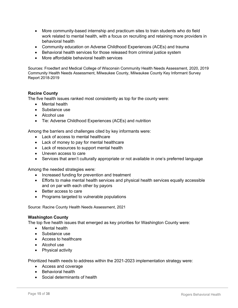- More community-based internship and practicum sites to train students who do field work related to mental health, with a focus on recruiting and retaining more providers in behavioral health
- Community education on Adverse Childhood Experiences (ACEs) and trauma
- Behavioral health services for those released from criminal justice system
- More affordable behavioral health services

Sources: Froedtert and Medical College of Wisconsin Community Health Needs Assessment, 2020, 2019 Community Health Needs Assessment, Milwaukee County, Milwaukee County Key Informant Survey Report 2018-2019

### **Racine County**

The five health issues ranked most consistently as top for the county were:

- Mental health
- Substance use
- Alcohol use
- Tie: Adverse Childhood Experiences (ACEs) and nutrition

Among the barriers and challenges cited by key informants were:

- Lack of access to mental healthcare
- Lack of money to pay for mental healthcare
- Lack of resources to support mental health
- Uneven access to care
- Services that aren't culturally appropriate or not available in one's preferred language

Among the needed strategies were:

- Increased funding for prevention and treatment
- Efforts to make mental health services and physical health services equally accessible and on par with each other by payors
- Better access to care
- Programs targeted to vulnerable populations

Source: Racine County Health Needs Assessment, 2021

#### **Washington County**

The top five health issues that emerged as key priorities for Washington County were:

- Mental health
- Substance use
- Access to healthcare
- Alcohol use
- Physical activity

Prioritized health needs to address within the 2021-2023 implementation strategy were:

- Access and coverage
- Behavioral health
- Social determinants of health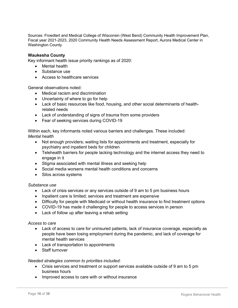Sources: Froedtert and Medical College of Wisconsin (West Bend) Community Health Improvement Plan, Fiscal year 2021-2023, 2020 Community Health Needs Assessment Report, Aurora Medical Center in Washington County

### **Waukesha County**

Key informant health issue priority rankings as of 2020:

- Mental health
- Substance use
- Access to healthcare services

General observations noted:

- Medical racism and discrimination
- Uncertainty of where to go for help
- Lack of basic resources like food, housing, and other social determinants of healthrelated needs
- Lack of understanding of signs of trauma from some providers
- Fear of seeking services during COVID-19

Within each, key informants noted various barriers and challenges. These included: *Mental health*

- Not enough providers; waiting lists for appointments and treatment, especially for psychiatry and inpatient beds for children
- Telehealth barriers for people lacking technology and the internet access they need to engage in it
- Stigma associated with mental illness and seeking help
- Social media worsens mental health conditions and concerns
- Silos across systems

#### *Substance use*

- Lack of crisis services or any services outside of 9 am to 5 pm business hours
- Inpatient care is limited; services and treatment are expensive
- Difficulty for people with Medicaid or without health insurance to find treatment options
- COVID-19 has made it challenging for people to access services in person
- Lack of follow up after leaving a rehab setting

#### *Access to care*

- Lack of access to care for uninsured patients, lack of insurance coverage, especially as people have been losing employment during the pandemic, and lack of coverage for mental health services
- Lack of transportation to appointments
- Staff turnover

#### *Needed strategies common to priorities included:*

- Crisis services and treatment or support services available outside of 9 am to 5 pm business hours
- Improved access to care with or without insurance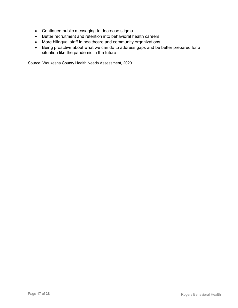- Continued public messaging to decrease stigma
- Better recruitment and retention into behavioral health careers
- More bilingual staff in healthcare and community organizations
- Being proactive about what we can do to address gaps and be better prepared for a situation like the pandemic in the future

Source: Waukesha County Health Needs Assessment, 2020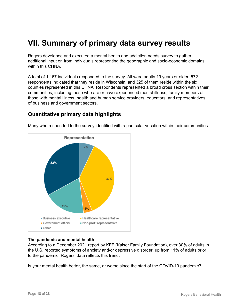## **VII. Summary of primary data survey results**

Rogers developed and executed a mental health and addiction needs survey to gather additional input on from individuals representing the geographic and socio-economic domains within this CHNA.

A total of 1,167 individuals responded to the survey. All were adults 19 years or older. 572 respondents indicated that they reside in Wisconsin, and 325 of them reside within the six counties represented in this CHNA. Respondents represented a broad cross section within their communities, including those who are or have experienced mental illness, family members of those with mental illness, health and human service providers, educators, and representatives of business and government sectors.

### **Quantitative primary data highlights**



Many who responded to the survey identified with a particular vocation within their communities.

### **The pandemic and mental health**

According to a December 2021 report by KFF (Kaiser Family Foundation), over 30% of adults in the U.S. reported symptoms of anxiety and/or depressive disorder, up from 11% of adults prior to the pandemic. Rogers' data reflects this trend.

Is your mental health better, the same, or worse since the start of the COVID-19 pandemic?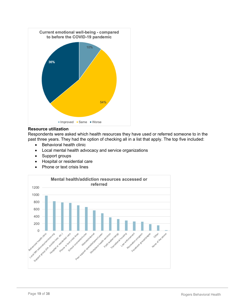

### **Resource utilization**

Respondents were asked which health resources they have used or referred someone to in the past three years. They had the option of checking all in a list that apply. The top five included:

- Behavioral health clinic
- Local mental health advocacy and service organizations
- Support groups
- Hospital or residential care
- Phone or text crisis lines

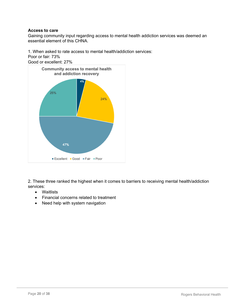### **Access to care**

Gaining community input regarding access to mental health addiction services was deemed an essential element of this CHNA.

1. When asked to rate access to mental health/addiction services:

Poor or fair: 73%



2. These three ranked the highest when it comes to barriers to receiving mental health/addiction services:

- Waitlists
- Financial concerns related to treatment
- Need help with system navigation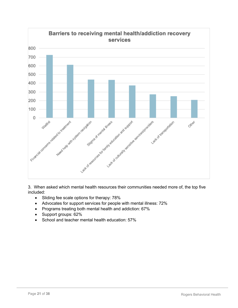

3. When asked which mental health resources their communities needed more of, the top five included:

- Sliding fee scale options for therapy: 78%
- Advocates for support services for people with mental illness: 72%
- Programs treating both mental health and addiction: 67%
- Support groups: 62%
- School and teacher mental health education: 57%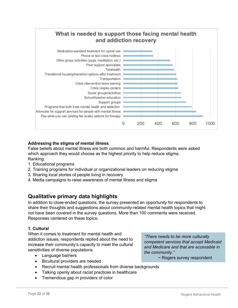

### **Addressing the stigma of mental illness**

False beliefs about mental illness are both common and harmful. Respondents were asked which approach they would choose as the highest priority to help reduce stigma. Ranking:

- 1. Educational programs
- 2. Training programs for individual or organizational leaders on reducing stigma
- 3. Sharing local stories of people living in recovery
- 4. Media campaigns to raise awareness of mental illness and stigma

### **Qualitative primary data highlights**

In addition to close-ended questions, the survey presented an opportunity for respondents to share their thoughts and suggestions about community-related mental health topics that might not have been covered in the survey questions. More than 100 comments were received. Responses centered on these topics:

### **1. Cultural**

When it comes to treatment for mental health and addiction issues, respondents replied about the need to increase their community's capacity to meet the cultural sensitivities of diverse populations.

- Language barriers
- Bicultural providers are needed

• Recruit mental health professionals from diverse backgrounds

- Talking openly about racist practices in healthcare
- Tremendous gap in providers of color

*"There needs to be more culturally competent services that accept Medicaid and Medicare and that are accessible in the community."*

~ Rogers survey respondent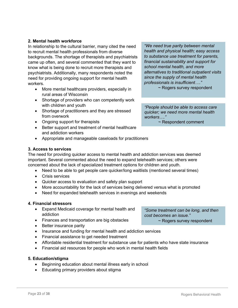### **2. Mental health workforce**

In relationship to the cultural barrier, many cited the need to recruit mental health professionals from diverse backgrounds. The shortage of therapists and psychiatrists came up often, and several commented that they want to know what is being done to recruit more therapists and psychiatrists. Additionally, many respondents noted the need for providing ongoing support for mental health workers.

- More mental healthcare providers, especially in rural areas of Wisconsin
- Shortage of providers who can competently work with children and youth
- Shortage of practitioners and they are stressed from overwork
- Ongoing support for therapists
- Better support and treatment of mental healthcare and addiction workers
- Appropriate and manageable caseloads for practitioners

### **3. Access to services**

The need for providing quicker access to mental health and addiction services was deemed important. Several commented about the need to expand telehealth services; others were concerned about the lack of specialized treatment options for children and youth.

- Need to be able to get people care quicker/long waitlists (mentioned several times)
- Crisis services
- Quicker access to evaluation and safety plan support
- More accountability for the lack of services being delivered versus what is promoted
- Need for expanded telehealth services in evenings and weekends

### **4. Financial stressors**

- Expand Medicaid coverage for mental health and addiction
- Finances and transportation are big obstacles
- Better insurance parity
- Insurance and funding for mental health and addiction services
- Financial assistance to get needed treatment
- Affordable residential treatment for substance use for patients who have state insurance
- Financial aid resources for people who work in mental health fields

### **5. Education/stigma**

- Beginning education about mental illness early in school
- Educating primary providers about stigma

*"We need true parity between mental health and physical health; easy access to substance use treatment for parents, financial sustainability and support for school mental health, and more alternatives to traditional outpatient visits since the supply of mental health professionals is insufficient…."*

~ Rogers survey respondent

*"People should be able to access care quicker; we need more mental health workers…."*

~ Respondent comment

*cost becomes an issue."* ~ Rogers survey respondent

*"Some treatment can be long, and then*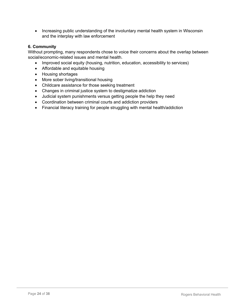• Increasing public understanding of the involuntary mental health system in Wisconsin and the interplay with law enforcement

### **6. Community**

Without prompting, many respondents chose to voice their concerns about the overlap between social/economic-related issues and mental health.

- Improved social equity (housing, nutrition, education, accessibility to services)
- Affordable and equitable housing
- Housing shortages
- More sober living/transitional housing
- Childcare assistance for those seeking treatment
- Changes in criminal justice system to destigmatize addiction
- Judicial system punishments versus getting people the help they need
- Coordination between criminal courts and addiction providers
- Financial literacy training for people struggling with mental health/addiction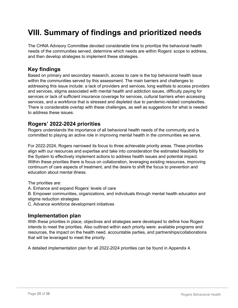## **VIII. Summary of findings and prioritized needs**

The CHNA Advisory Committee devoted considerable time to prioritize the behavioral health needs of the communities served, determine which needs are within Rogers' scope to address, and then develop strategies to implement these strategies.

### **Key findings**

Based on primary and secondary research, access to care is the top behavioral health issue within the communities served by this assessment. The main barriers and challenges to addressing this issue include: a lack of providers and services, long waitlists to access providers and services, stigma associated with mental health and addiction issues, difficulty paying for services or lack of sufficient insurance coverage for services, cultural barriers when accessing services, and a workforce that is stressed and depleted due to pandemic-related complexities. There is considerable overlap with these challenges, as well as suggestions for what is needed to address these issues.

### **Rogers' 2022-2024 priorities**

Rogers understands the importance of all behavioral health needs of the community and is committed to playing an active role in improving mental health in the communities we serve.

For 2022-2024, Rogers narrowed its focus to three achievable priority areas. These priorities align with our resources and expertise and take into consideration the estimated feasibility for the System to effectively implement actions to address health issues and potential impact. Within these priorities there is focus on collaboration, leveraging existing resources, improving continuum of care aspects of treatment, and the desire to shift the focus to prevention and education about mental illness.

The priorities are:

A. Enhance and expand Rogers' levels of care

B. Empower communities, organizations, and individuals through mental health education and stigma reduction strategies

C. Advance workforce development initiatives

### **Implementation plan**

With these priorities in place, objectives and strategies were developed to define how Rogers intends to meet the priorities. Also outlined within each priority were: available programs and resources, the impact on the health need, accountable parties, and partnerships/collaborations that will be leveraged to meet the priority.

A detailed implementation plan for all 2022-2024 priorities can be found in Appendix 4.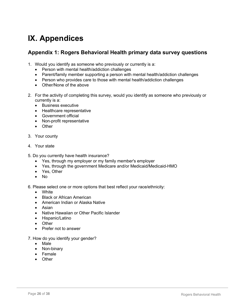## **IX. Appendices**

### **Appendix 1: Rogers Behavioral Health primary data survey questions**

- 1. Would you identify as someone who previously or currently is a:
	- Person with mental health/addiction challenges
	- Parent/family member supporting a person with mental health/addiction challenges
	- Person who provides care to those with mental health/addiction challenges
	- Other/None of the above
- 2. For the activity of completing this survey, would you identify as someone who previously or currently is a:
	- Business executive
	- Healthcare representative
	- Government official
	- Non-profit representative
	- Other
- 3. Your county
- 4. Your state
- 5. Do you currently have health insurance?
	- Yes, through my employer or my family member's employer
	- Yes, through the government Medicare and/or Medicaid/Medicaid-HMO
	- Yes, Other
	- No
- 6. Please select one or more options that best reflect your race/ethnicity:
	- White
	- Black or African American
	- American Indian or Alaska Native
	- Asian
	- Native Hawaiian or Other Pacific Islander
	- Hispanic/Latino
	- Other
	- Prefer not to answer
- 7. How do you identify your gender?
	- Male
	- Non-binary
	- Female
	- Other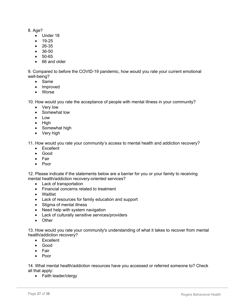### 8. Age?

- Under 18
- 19-25
- 26-35
- 36-50
- 50-65
- 66 and older

9. Compared to before the COVID-19 pandemic, how would you rate your current emotional well-being?

- Same
- Improved
- Worse

10. How would you rate the acceptance of people with mental illness in your community?

- Very low
- Somewhat low
- Low
- High
- Somewhat high
- Very high

11. How would you rate your community's access to mental health and addiction recovery?

- Excellent
- Good
- Fair
- Poor

12. Please indicate if the statements below are a barrier for you or your family to receiving mental health/addiction recovery-oriented services?

- Lack of transportation
- Financial concerns related to treatment
- Waitlist
- Lack of resources for family education and support
- Stigma of mental illness
- Need help with system navigation
- Lack of culturally sensitive services/providers
- Other

13. How would you rate your community's understanding of what it takes to recover from mental health/addiction recovery?

- Excellent
- Good
- Fair
- Poor

14. What mental health/addiction resources have you accessed or referred someone to? Check all that apply:

• Faith leader/clergy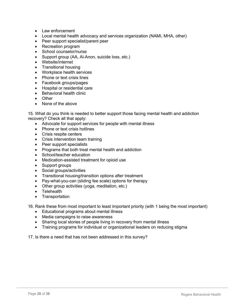- Law enforcement
- Local mental health advocacy and services organization (NAMI, MHA, other)
- Peer support specialist/parent peer
- Recreation program
- School counselor/nurse
- Support group (AA, Al-Anon, suicide loss, etc.)
- Website/internet
- Transitional housing
- Workplace health services
- Phone or text crisis lines
- Facebook groups/pages
- Hospital or residential care
- Behavioral health clinic
- Other
- None of the above

15. What do you think is needed to better support those facing mental health and addiction recovery? Check all that apply:

- Advocate for support services for people with mental illness
- Phone or text crisis hotlines
- Crisis respite centers
- Crisis intervention team training
- Peer support specialists
- Programs that both treat mental health and addiction
- School/teacher education
- Medication-assisted treatment for opioid use
- Support groups
- Social groups/activities
- Transitional housing/transition options after treatment
- Pay-what-you-can (sliding fee scale) options for therapy
- Other group activities (yoga, meditation, etc.)
- Telehealth
- Transportation

16. Rank these from most important to least important priority (with 1 being the most important)

- Educational programs about mental illness
- Media campaigns to raise awareness
- Sharing local stories of people living in recovery from mental illness
- Training programs for individual or organizational leaders on reducing stigma

17. Is there a need that has not been addressed in this survey?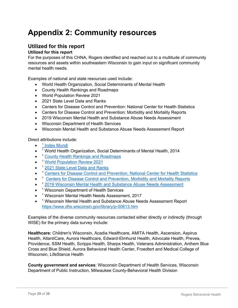## **Appendix 2: Community resources**

### **Utilized for this report**

### **Utilized for this report**

For the purposes of this CHNA, Rogers identified and reached out to a multitude of community resources and assets within southeastern Wisconsin to gain input on significant community mental health needs.

Examples of national and state resources used include:

- World Health Organization, Social Determinants of Mental Health
- County Health Rankings and Roadmaps
- World Population Review 2021
- 2021 State Level Data and Ranks
- Centers for Disease Control and Prevention: National Center for Health Statistics
- Centers for Disease Control and Prevention: Morbidity and Mortality Reports
- 2019 Wisconsin Mental Health and Substance Abuse Needs Assessment
- Wisconsin Department of Health Services
- Wisconsin Mental Health and Substance Abuse Needs Assessment Report

Direct attributions include:

- $\bullet$  <sup>1</sup> Index Mundi
- <sup>1</sup> World Health Organization, Social Determinants of Mental Health, 2014
- <sup>1</sup> County Health Rankings and Roadmaps
- <sup>1</sup> World Population Review 2021
- <sup>1</sup> 2021 State Level Data and Ranks
- <sup>1</sup> Centers for Disease Control and Prevention, National Center for Health Statistics
- <sup>1</sup> Centers for Disease Control and Prevention, Morbidity and Mortality Reports
- <sup>1</sup> 2019 Wisconsin Mental Health and Substance Abuse Needs Assessment
- <sup>1</sup> Wisconsin Department of Health Services
- <sup>1</sup> Wisconsin Mental Health Needs Assessment, 2017
- <sup>1</sup> Wisconsin Mental Health and Substance Abuse Needs Assessment Report https://www.dhs.wisconsin.gov/library/p-00613.htm

Examples of the diverse community resources contacted either directly or indirectly (through WISE) for the primary data survey include:

**Healthcare:** Children's Wisconsin, Acadia Healthcare, AMITA Health, Ascension, Aspirus Health, AtlantiCare, Aurora Healthcare, Edward-Elmhurst Health, Advocate Health, Prevea, Providence, SSM Health, Scripps Health, Sharps Health, Veterans Administration, Anthem Blue Cross and Blue Shield, Aurora Behavioral Health Center, Froedtert and Medical College of Wisconsin, LifeStance Health

**County government and services**: Wisconsin Department of Health Services, Wisconsin Department of Public Instruction, Milwaukee County-Behavioral Health Division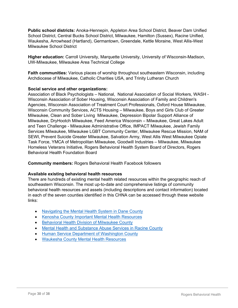**Public school districts:** Anoka-Hennepin, Appleton Area School District, Beaver Dam Unified School District, Central Bucks School District, Milwaukee, Hamilton (Sussex), Racine Unified, Waukesha, Arrowhead (Hartland), Germantown, Greendale, Kettle Moraine, West Allis-West Milwaukee School District

**Higher education:** Carroll University, Marquette University, University of Wisconsin-Madison, UW-Milwaukee, Milwaukee Area Technical College

**Faith communities:** Various places of worship throughout southeastern Wisconsin, including Archdiocese of Milwaukee, Catholic Charities USA, and Trinity Lutheran Church

### **Social service and other organizations:**

Association of Black Psychologists – National, National Association of Social Workers, WASH - Wisconsin Association of Sober Housing, Wisconsin Association of Family and Children's Agencies, Wisconsin Association of Treatment Court Professionals, Oxford House Milwaukee, Wisconsin Community Services, ACTS Housing – Milwaukee, Boys and Girls Club of Greater Milwaukee, Clean and Sober Living Milwaukee, Depression Bipolar Support Alliance of Milwaukee, DryHootch Milwaukee, Feed America Wisconsin – Milwaukee, Great Lakes Adult and Teen Challenge - Milwaukee Administrative Office, IMPACT Milwaukee, Jewish Family Services Milwaukee, Milwaukee LGBT Community Center, Milwaukee Rescue Mission, NAM of SEWI, Prevent Suicide Greater Milwaukee, Salvation Army, West Allis West Milwaukee Opiate Task Force, YMCA of Metropolitan Milwaukee, Goodwill Industries – Milwaukee, Milwaukee Homeless Veterans Initiative, Rogers Behavioral Health System Board of Directors, Rogers Behavioral Health Foundation Board

**Community members:** Rogers Behavioral Health Facebook followers

### **Available existing behavioral health resources**

There are hundreds of existing mental health related resources within the geographic reach of southeastern Wisconsin. The most up-to-date and comprehensive listings of community behavioral health resources and assets (including descriptions and contact information) located in each of the seven counties identified in this CHNA can be accessed through these website links:

- Navigating the Mental Health System in Dane County
- Kenosha County Important Mental Health Resources
- Behavioral Health Division of Milwaukee County
- Mental Health and Substance Abuse Services in Racine County
- Human Service Department of Washington County
- Waukesha County Mental Health Resources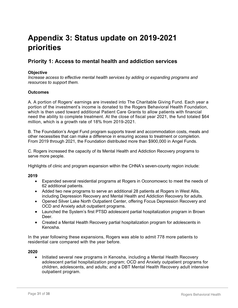## **Appendix 3: Status update on 2019-2021 priorities**

### **Priority 1: Access to mental health and addiction services**

### **Objective**

*Increase access to effective mental health services by adding or expanding programs and resources to support them.*

### **Outcomes**

A. A portion of Rogers' earnings are invested into The Charitable Giving Fund. Each year a portion of the investment's income is donated to the Rogers Behavioral Health Foundation, which is then used toward additional Patient Care Grants to allow patients with financial need the ability to complete treatment. At the close of fiscal year 2021, the fund totaled \$64 million, which is a growth rate of 18% from 2019-2021.

B. The Foundation's Angel Fund program supports travel and accommodation costs, meals and other necessities that can make a difference in ensuring access to treatment or completion. From 2019 through 2021, the Foundation distributed more than \$900,000 in Angel Funds.

C. Rogers increased the capacity of its Mental Health and Addiction Recovery programs to serve more people.

Highlights of clinic and program expansion within the CHNA's seven-county region include:

### **2019**

- Expanded several residential programs at Rogers in Oconomowoc to meet the needs of 62 additional patients.
- Added two new programs to serve an additional 28 patients at Rogers in West Allis, including Depression Recovery and Mental Health and Addiction Recovery for adults.
- Opened Silver Lake North Outpatient Center, offering Focus Depression Recovery and OCD and Anxiety adult outpatient programs.
- Launched the System's first PTSD adolescent partial hospitalization program in Brown Deer.
- Created a Mental Health Recovery partial hospitalization program for adolescents in Kenosha.

In the year following these expansions, Rogers was able to admit 778 more patients to residential care compared with the year before.

#### **2020**

• Initiated several new programs in Kenosha, including a Mental Health Recovery adolescent partial hospitalization program; OCD and Anxiety outpatient programs for children, adolescents, and adults; and a DBT Mental Health Recovery adult intensive outpatient program.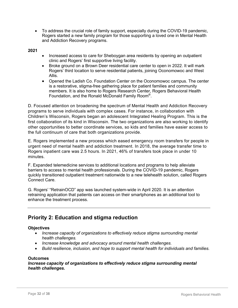- To address the crucial role of family support, especially during the COVID-19 pandemic, Rogers started a new family program for those supporting a loved one in Mental Health and Addiction Recovery programs.
- **2021**
- Increased access to care for Sheboygan area residents by opening an outpatient clinic and Rogers' first supportive living facility.
- Broke ground on a Brown Deer residential care center to open in 2022. It will mark Rogers' third location to serve residential patients, joining Oconomowoc and West Allis.
- Opened the Ladish Co. Foundation Center on the Oconomowoc campus. The center is a restorative, stigma-free gathering place for patient families and community members. It is also home to Rogers Research Center, Rogers Behavioral Health Foundation, and the Ronald McDonald Family Room®.

D. Focused attention on broadening the spectrum of Mental Health and Addiction Recovery programs to serve individuals with complex cases. For instance, in collaboration with Children's Wisconsin, Rogers began an adolescent Integrated Healing Program. This is the first collaboration of its kind in Wisconsin. The two organizations are also working to identify other opportunities to better coordinate services, so kids and families have easier access to the full continuum of care that both organizations provide.

E. Rogers implemented a new process which eased emergency room transfers for people in urgent need of mental health and addiction treatment. In 2018, the average transfer time to Rogers inpatient care was 2.5 hours. In 2021, 46% of transfers took place in under 10 minutes.

F. Expanded telemedicine services to additional locations and programs to help alleviate barriers to access to mental health professionals. During the COVID-19 pandemic, Rogers quickly transitioned outpatient treatment nationwide to a new telehealth solution, called Rogers Connect Care.

G. Rogers' "RetrainOCD" app was launched system-wide in April 2020. It is an attention retraining application that patients can access on their smartphones as an additional tool to enhance the treatment process.

### **Priority 2: Education and stigma reduction**

### **Objectives**

- *Increase capacity of organizations to effectively reduce stigma surrounding mental health challenges.*
- *Increase knowledge and advocacy around mental health challenges.*
- *Build resilience, inclusion, and hope to support mental health for individuals and families.*

#### **Outcomes**

### *Increase capacity of organizations to effectively reduce stigma surrounding mental health challenges.*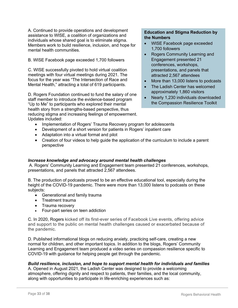A. Continued to provide operations and development assistance to WISE, a coalition of organizations and individuals whose shared goal is to eliminate stigma. Members work to build resilience, inclusion, and hope for mental health communities.

B. WISE Facebook page exceeded 1,700 followers

C. WISE successfully pivoted to hold virtual coalition meetings with four virtual meetings during 2021. The focus for the year was "The Intersection of Race and Mental Health," attracting a total of 619 participants.

D. Rogers Foundation continued to fund the salary of one staff member to introduce the evidence-based program "Up to Me" to participants who explored their mental health story from a strengths-based perspective, thus reducing stigma and increasing feelings of empowerment. Updates included:

### **Education and Stigma Reduction by the Numbers**

- WISE Facebook page exceeded 1,700 followers
- Rogers Community Learning and Engagement presented 21 conferences, workshops, presentations, and panels that attracted 2,567 attendees
- More than 13,000 listens to podcasts
- The Ladish Center has welcomed approximately 1,860 visitors
- Nearly 1,230 individuals downloaded the Compassion Resilience Toolkit
- Implementation of Rogers' Trauma Recovery program for adolescents
- Development of a short version for patients in Rogers' inpatient care
- Adaptation into a virtual format and pilot
- Creation of four videos to help guide the application of the curriculum to include a parent perspective

### *Increase knowledge and advocacy around mental health challenges*

A. Rogers' Community Learning and Engagement team presented 21 conferences, workshops, presentations, and panels that attracted 2,567 attendees.

B. The production of podcasts proved to be an effective educational tool, especially during the height of the COVID-19 pandemic. There were more than 13,000 listens to podcasts on these subjects:

- Generational and family trauma
- Treatment trauma
- Trauma recovery
- Four-part series on teen addiction

C. In 2020, Rogers kicked off its first-ever series of Facebook Live events, offering advice and support to the public on mental health challenges caused or exacerbated because of the pandemic.

D. Published informational blogs on reducing anxiety, practicing self-care, creating a new normal for children, and other important topics. In addition to the blogs, Rogers' Community Learning and Engagement team produced a video series on compassion resilience specific to COVID-19 with guidance for helping people get through the pandemic.

### *Build resilience, inclusion, and hope to support mental health for individuals and families*

A. Opened in August 2021, the Ladish Center was designed to provide a welcoming atmosphere, offering dignity and respect to patients, their families, and the local community, along with opportunities to participate in life-enriching experiences such as: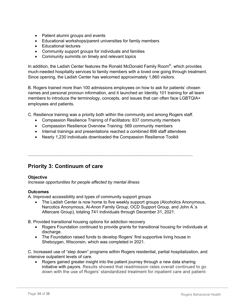- Patient alumni groups and events
- Educational workshops/parent universities for family members
- Educational lectures
- Community support groups for individuals and families
- Community summits on timely and relevant topics

In addition, the Ladish Center features the Ronald McDonald Family Room<sup>®</sup>, which provides much-needed hospitality services to family members with a loved one going through treatment. Since opening, the Ladish Center has welcomed approximately 1,860 visitors.

B. Rogers trained more than 100 admissions employees on how to ask for patients' chosen names and personal pronoun information, and it launched an Identity 101 training for all team members to introduce the terminology, concepts, and issues that can often face LGBTQIA+ employees and patients.

C. Resilience training was a priority both within the community and among Rogers staff.

- Compassion Resilience Training of Facilitators: 837 community members
- Compassion Resilience Overview Training: 569 community members
- Internal trainings and presentations reached a combined 898 staff attendees

 $\_$  ,  $\_$  ,  $\_$  ,  $\_$  ,  $\_$  ,  $\_$  ,  $\_$  ,  $\_$  ,  $\_$  ,  $\_$  ,  $\_$  ,  $\_$  ,  $\_$  ,  $\_$  ,  $\_$  ,  $\_$  ,  $\_$  ,  $\_$  ,  $\_$  ,  $\_$  ,  $\_$  ,  $\_$  ,  $\_$  ,  $\_$  ,  $\_$  ,  $\_$  ,  $\_$  ,  $\_$  ,  $\_$  ,  $\_$  ,  $\_$  ,  $\_$  ,  $\_$  ,  $\_$  ,  $\_$  ,  $\_$  ,  $\_$  ,

• Nearly 1,230 individuals downloaded the Compassion Resilience Toolkit

### **Priority 3: Continuum of care**

### **Objective**

*Increase opportunities for people affected by mental illness* 

### **Outcomes**

A. Improved accessibility and types of community support groups

• The Ladish Center is now home to five weekly support groups (Alcoholics Anonymous, Narcotics Anonymous, Al-Anon Family Group, OCD Support Group, and John A.'s Aftercare Group), totaling 741 individuals through December 31, 2021.

B. Provided transitional housing options for addiction recovery

- Rogers Foundation continued to provide grants for transitional housing for individuals at discharge.
- The Foundation raised funds to develop Rogers' first supportive living house in Sheboygan, Wisconsin, which was completed in 2021.

C. Increased use of "step down" programs within Rogers residential, partial hospitalization, and intensive outpatient levels of care.

• Rogers gained greater insight into the patient journey through a new data sharing initiative with payors. Results showed that readmission rates overall continued to go down with the use of Rogers' standardized treatment for inpatient care and patient-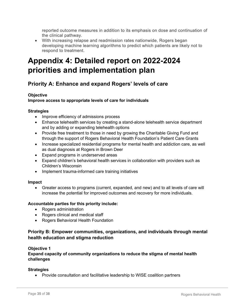reported outcome measures in addition to its emphasis on dose and continuation of the clinical pathway.

• With increasing relapse and readmission rates nationwide, Rogers began developing machine learning algorithms to predict which patients are likely not to respond to treatment.

## **Appendix 4: Detailed report on 2022-2024 priorities and implementation plan**

### **Priority A: Enhance and expand Rogers' levels of care**

### **Objective**

### **Improve access to appropriate levels of care for individuals**

### **Strategies**

- Improve efficiency of admissions process
- Enhance telehealth services by creating a stand-alone telehealth service department and by adding or expanding telehealth options
- Provide free treatment to those in need by growing the Charitable Giving Fund and through the support of Rogers Behavioral Health Foundation's Patient Care Grants
- Increase specialized residential programs for mental health and addiction care, as well as dual diagnosis at Rogers in Brown Deer
- Expand programs in underserved areas
- Expand children's behavioral health services in collaboration with providers such as Children's Wisconsin
- Implement trauma-informed care training initiatives

### **Impact**

• Greater access to programs (current, expanded, and new) and to all levels of care will increase the potential for improved outcomes and recovery for more individuals.

### **Accountable parties for this priority include:**

- Rogers administration
- Rogers clinical and medical staff
- Rogers Behavioral Health Foundation

### **Priority B: Empower communities, organizations, and individuals through mental health education and stigma reduction**

### **Objective 1**

**Expand capacity of community organizations to reduce the stigma of mental health challenges**

### **Strategies**

• Provide consultation and facilitative leadership to WISE coalition partners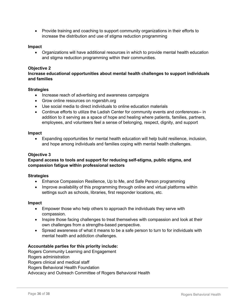• Provide training and coaching to support community organizations in their efforts to increase the distribution and use of stigma reduction programming

### **Impact**

• Organizations will have additional resources in which to provide mental health education and stigma reduction programming within their communities.

### **Objective 2**

### **Increase educational opportunities about mental health challenges to support individuals and families**

### **Strategies**

- Increase reach of advertising and awareness campaigns
- Grow online resources on rogersbh.org
- Use social media to direct individuals to online education materials
- Continue efforts to utilize the Ladish Center for community events and conferences-- in addition to it serving as a space of hope and healing where patients, families, partners, employees, and volunteers feel a sense of belonging, respect, dignity, and support

### **Impact**

• Expanding opportunities for mental health education will help build resilience, inclusion, and hope among individuals and families coping with mental health challenges.

### **Objective 3**

### **Expand access to tools and support for reducing self-stigma, public stigma, and compassion fatigue within professional sectors**

#### **Strategies**

- Enhance Compassion Resilience, Up to Me, and Safe Person programming
- Improve availability of this programming through online and virtual platforms within settings such as schools, libraries, first responder locations, etc.

#### **Impact**

- Empower those who help others to approach the individuals they serve with compassion.
- Inspire those facing challenges to treat themselves with compassion and look at their own challenges from a strengths-based perspective.
- Spread awareness of what it means to be a safe person to turn to for individuals with mental health and addiction challenges.

### **Accountable parties for this priority include:**

Rogers Community Learning and Engagement Rogers administration Rogers clinical and medical staff Rogers Behavioral Health Foundation Advocacy and Outreach Committee of Rogers Behavioral Health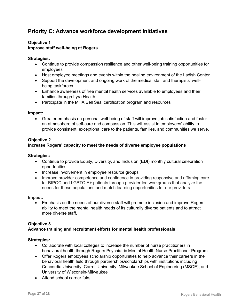### **Priority C: Advance workforce development initiatives**

### **Objective 1 Improve staff well-being at Rogers**

### **Strategies:**

- Continue to provide compassion resilience and other well-being training opportunities for employees
- Host employee meetings and events within the healing environment of the Ladish Center
- Support the development and ongoing work of the medical staff and therapists' wellbeing taskforces
- Enhance awareness of free mental health services available to employees and their families through Lyra Health
- Participate in the MHA Bell Seal certification program and resources

### **Impact:**

• Greater emphasis on personal well-being of staff will improve job satisfaction and foster an atmosphere of self-care and compassion. This will assist in employees' ability to provide consistent, exceptional care to the patients, families, and communities we serve.

### **Objective 2**

### **Increase Rogers' capacity to meet the needs of diverse employee populations**

#### **Strategies:**

- Continue to provide Equity, Diversity, and Inclusion (EDI) monthly cultural celebration opportunities
- Increase involvement in employee resource groups
- Improve provider competence and confidence in providing responsive and affirming care for BIPOC and LGBTQIA+ patients through provider-led workgroups that analyze the needs for these populations and match learning opportunities for our providers

#### **Impact:**

• Emphasis on the needs of our diverse staff will promote inclusion and improve Rogers' ability to meet the mental health needs of its culturally diverse patients and to attract more diverse staff.

#### **Objective 3**

### **Advance training and recruitment efforts for mental health professionals**

#### **Strategies:**

- Collaborate with local colleges to increase the number of nurse practitioners in behavioral health through Rogers Psychiatric Mental Health Nurse Practitioner Program
- Offer Rogers employees scholarship opportunities to help advance their careers in the behavioral health field through partnerships/scholarships with institutions including Concordia University, Carroll University, Milwaukee School of Engineering (MSOE), and University of Wisconsin-Milwaukee
- Attend school career fairs